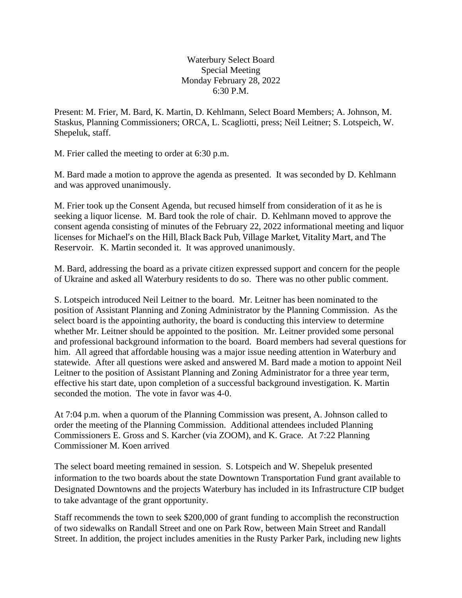Waterbury Select Board Special Meeting Monday February 28, 2022 6:30 P.M.

Present: M. Frier, M. Bard, K. Martin, D. Kehlmann, Select Board Members; A. Johnson, M. Staskus, Planning Commissioners; ORCA, L. Scagliotti, press; Neil Leitner; S. Lotspeich, W. Shepeluk, staff.

M. Frier called the meeting to order at 6:30 p.m.

M. Bard made a motion to approve the agenda as presented. It was seconded by D. Kehlmann and was approved unanimously.

M. Frier took up the Consent Agenda, but recused himself from consideration of it as he is seeking a liquor license. M. Bard took the role of chair. D. Kehlmann moved to approve the consent agenda consisting of minutes of the February 22, 2022 informational meeting and liquor licenses for Michael's on the Hill, Black Back Pub, Village Market, Vitality Mart, and The Reservoir. K. Martin seconded it. It was approved unanimously.

M. Bard, addressing the board as a private citizen expressed support and concern for the people of Ukraine and asked all Waterbury residents to do so. There was no other public comment.

S. Lotspeich introduced Neil Leitner to the board. Mr. Leitner has been nominated to the position of Assistant Planning and Zoning Administrator by the Planning Commission. As the select board is the appointing authority, the board is conducting this interview to determine whether Mr. Leitner should be appointed to the position. Mr. Leitner provided some personal and professional background information to the board. Board members had several questions for him. All agreed that affordable housing was a major issue needing attention in Waterbury and statewide. After all questions were asked and answered M. Bard made a motion to appoint Neil Leitner to the position of Assistant Planning and Zoning Administrator for a three year term, effective his start date, upon completion of a successful background investigation. K. Martin seconded the motion. The vote in favor was 4-0.

At 7:04 p.m. when a quorum of the Planning Commission was present, A. Johnson called to order the meeting of the Planning Commission. Additional attendees included Planning Commissioners E. Gross and S. Karcher (via ZOOM), and K. Grace. At 7:22 Planning Commissioner M. Koen arrived

The select board meeting remained in session. S. Lotspeich and W. Shepeluk presented information to the two boards about the state Downtown Transportation Fund grant available to Designated Downtowns and the projects Waterbury has included in its Infrastructure CIP budget to take advantage of the grant opportunity.

Staff recommends the town to seek \$200,000 of grant funding to accomplish the reconstruction of two sidewalks on Randall Street and one on Park Row, between Main Street and Randall Street. In addition, the project includes amenities in the Rusty Parker Park, including new lights